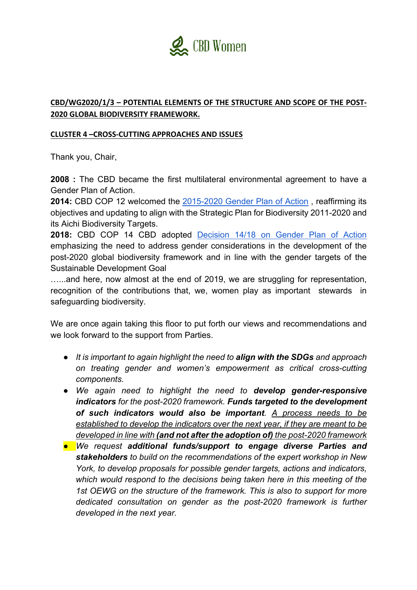

## **CBD/WG2020/1/3 – POTENTIAL ELEMENTS OF THE STRUCTURE AND SCOPE OF THE POST-2020 GLOBAL BIODIVERSITY FRAMEWORK.**

## **CLUSTER 4 –CROSS-CUTTING APPROACHES AND ISSUES**

Thank you, Chair,

**2008** : The CBD became the first multilateral environmental agreement to have a Gender Plan of Action.

**2014:** CBD COP 12 welcomed the 2015-2020 Gender Plan of Action , reaffirming its objectives and updating to align with the Strategic Plan for Biodiversity 2011-2020 and its Aichi Biodiversity Targets.

**2018:** CBD COP 14 CBD adopted Decision 14/18 on Gender Plan of Action emphasizing the need to address gender considerations in the development of the post-2020 global biodiversity framework and in line with the gender targets of the Sustainable Development Goal

…...and here, now almost at the end of 2019, we are struggling for representation, recognition of the contributions that, we, women play as important stewards in safeguarding biodiversity.

We are once again taking this floor to put forth our views and recommendations and we look forward to the support from Parties.

- *It is important to again highlight the need to align with the SDGs and approach on treating gender and women's empowerment as critical cross-cutting components.*
- *We again need to highlight the need to develop gender-responsive indicators for the post-2020 framework. Funds targeted to the development of such indicators would also be important. A process needs to be established to develop the indicators over the next year, if they are meant to be developed in line with (and not after the adoption of) the post-2020 framework*
- *We request additional funds/support to engage diverse Parties and stakeholders to build on the recommendations of the expert workshop in New York, to develop proposals for possible gender targets, actions and indicators, which would respond to the decisions being taken here in this meeting of the 1st OEWG on the structure of the framework. This is also to support for more dedicated consultation on gender as the post-2020 framework is further developed in the next year.*